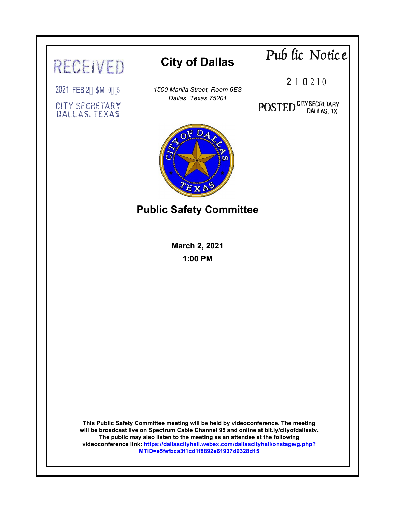# **Pub fic Notic e City of Dallas** RECEIVED 2 1 0 2 1 0 2021 FEB 2\* 5M 0-:& *1500 Marilla Street, Room 6ES Dallas, Texas 75201* POSTED CITY SECRETARY CITY SECRETARY **DALLAS**, TEXAS **Public Safety Committee March 2, 2021 1:00 PM This Public Safety Committee meeting will be held by videoconference. The meeting will be broadcast live on Spectrum Cable Channel 95 and online at bit.ly/cityofdallastv. The public may also listen to the meeting as an attendee at the following videoconference lin[k: https://dallascityhall.webex.com/dallascityhall/onstage/g.php?](https://dallascityhall.webex.com/mw3300/mywebex/default.do?siteurl=dallascityhall&service=6&main_url=%2Fec3300%2Feventcenter%2Fmainframe.do%3Fsiteurl%3Ddallascityhall%26main_url%3D%252Fec3300%252Feventcenter%252Fevent%252FeventAction.do%253Fsiteurl%253Ddallascityhall%2526theAction%253Dinfo_start%2526path%253Dinfo%2526confViewID%253D186960471560044481) MTID=e5fefbca3f1cd1f8892e61937d9328d15**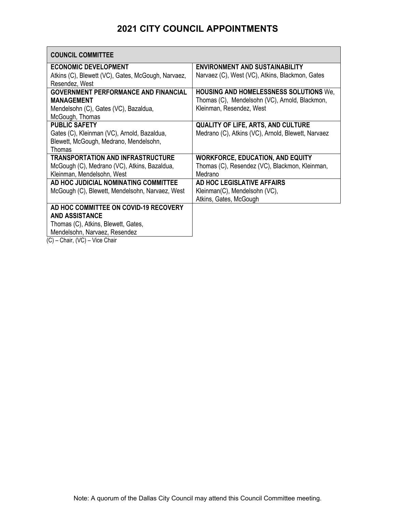# **2021 CITY COUNCIL APPOINTMENTS**

| <b>COUNCIL COMMITTEE</b>                           |                                                    |
|----------------------------------------------------|----------------------------------------------------|
| <b>ECONOMIC DEVELOPMENT</b>                        | <b>ENVIRONMENT AND SUSTAINABILITY</b>              |
| Atkins (C), Blewett (VC), Gates, McGough, Narvaez, | Narvaez (C), West (VC), Atkins, Blackmon, Gates    |
| Resendez, West                                     |                                                    |
| <b>GOVERNMENT PERFORMANCE AND FINANCIAL</b>        | <b>HOUSING AND HOMELESSNESS SOLUTIONS We.</b>      |
| <b>MANAGEMENT</b>                                  | Thomas (C), Mendelsohn (VC), Arnold, Blackmon,     |
| Mendelsohn (C), Gates (VC), Bazaldua,              | Kleinman, Resendez, West                           |
| McGough, Thomas                                    |                                                    |
| <b>PUBLIC SAFETY</b>                               | <b>QUALITY OF LIFE, ARTS, AND CULTURE</b>          |
| Gates (C), Kleinman (VC), Arnold, Bazaldua,        | Medrano (C), Atkins (VC), Arnold, Blewett, Narvaez |
| Blewett, McGough, Medrano, Mendelsohn,             |                                                    |
| Thomas                                             |                                                    |
| <b>TRANSPORTATION AND INFRASTRUCTURE</b>           | <b>WORKFORCE, EDUCATION, AND EQUITY</b>            |
| McGough (C), Medrano (VC), Atkins, Bazaldua,       | Thomas (C), Resendez (VC), Blackmon, Kleinman,     |
| Kleinman, Mendelsohn, West                         | Medrano                                            |
| AD HOC JUDICIAL NOMINATING COMMITTEE               | AD HOC LEGISLATIVE AFFAIRS                         |
| McGough (C), Blewett, Mendelsohn, Narvaez, West    | Kleinman(C), Mendelsohn (VC),                      |
|                                                    | Atkins, Gates, McGough                             |
| AD HOC COMMITTEE ON COVID-19 RECOVERY              |                                                    |
| <b>AND ASSISTANCE</b>                              |                                                    |
| Thomas (C), Atkins, Blewett, Gates,                |                                                    |
| Mendelsohn, Narvaez, Resendez                      |                                                    |
|                                                    |                                                    |

(C) – Chair, (VC) – Vice Chair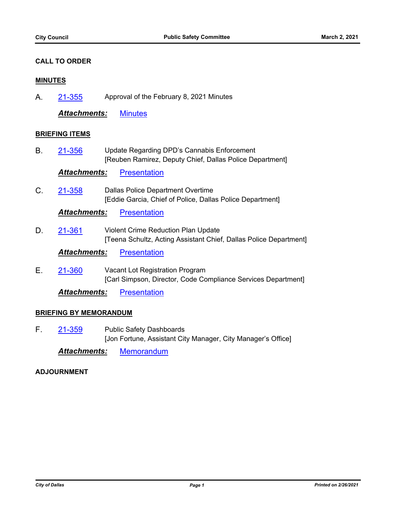## **CALL TO ORDER**

#### **MINUTES**

A. [21-355](http://cityofdallas.legistar.com/gateway.aspx?m=l&id=/matter.aspx?key=7889) Approval of the February 8, 2021 Minutes

*Attachments:* [Minutes](http://cityofdallas.legistar.com/gateway.aspx?M=F&ID=a97cc7f5-54ac-4754-a069-61d914eb4793.pdf)

#### **BRIEFING ITEMS**

B. 21-356 Update Regarding DPD's Cannabis Enforcement [Reuben Ramirez, Deputy Chief, Dallas Police Department] [21-356](http://cityofdallas.legistar.com/gateway.aspx?m=l&id=/matter.aspx?key=7890)

**Attachments: [Presentation](http://cityofdallas.legistar.com/gateway.aspx?M=F&ID=702b9400-9e87-471c-88d4-f5ea3050949a.pdf)** 

C. 21-358 Dallas Police Department Overtime [Eddie Garcia, Chief of Police, Dallas Police Department] [21-358](http://cityofdallas.legistar.com/gateway.aspx?m=l&id=/matter.aspx?key=7892)

*Attachments:* [Presentation](http://cityofdallas.legistar.com/gateway.aspx?M=F&ID=d35df6b3-6a51-416f-83d0-64c8e4a79244.pdf)

D. 21-361 Violent Crime Reduction Plan Update [Teena Schultz, Acting Assistant Chief, Dallas Police Department] [21-361](http://cityofdallas.legistar.com/gateway.aspx?m=l&id=/matter.aspx?key=7895)

**Attachments: [Presentation](http://cityofdallas.legistar.com/gateway.aspx?M=F&ID=7cfdcc90-a0b7-4d68-be67-9f60800113f6.pdf)** 

E. 21-360 Vacant Lot Registration Program [Carl Simpson, Director, Code Compliance Services Department] [21-360](http://cityofdallas.legistar.com/gateway.aspx?m=l&id=/matter.aspx?key=7894)

*Attachments:* [Presentation](http://cityofdallas.legistar.com/gateway.aspx?M=F&ID=e8a91e85-b82f-4ea0-a47b-b1293377862e.pdf)

# **BRIEFING BY MEMORANDUM**

F. 21-359 Public Safety Dashboards [Jon Fortune, Assistant City Manager, City Manager's Office] [21-359](http://cityofdallas.legistar.com/gateway.aspx?m=l&id=/matter.aspx?key=7893)

*Attachments:* [Memorandum](http://cityofdallas.legistar.com/gateway.aspx?M=F&ID=3269d36d-1928-48cf-bf9f-bd4737d41494.pdf)

# **ADJOURNMENT**